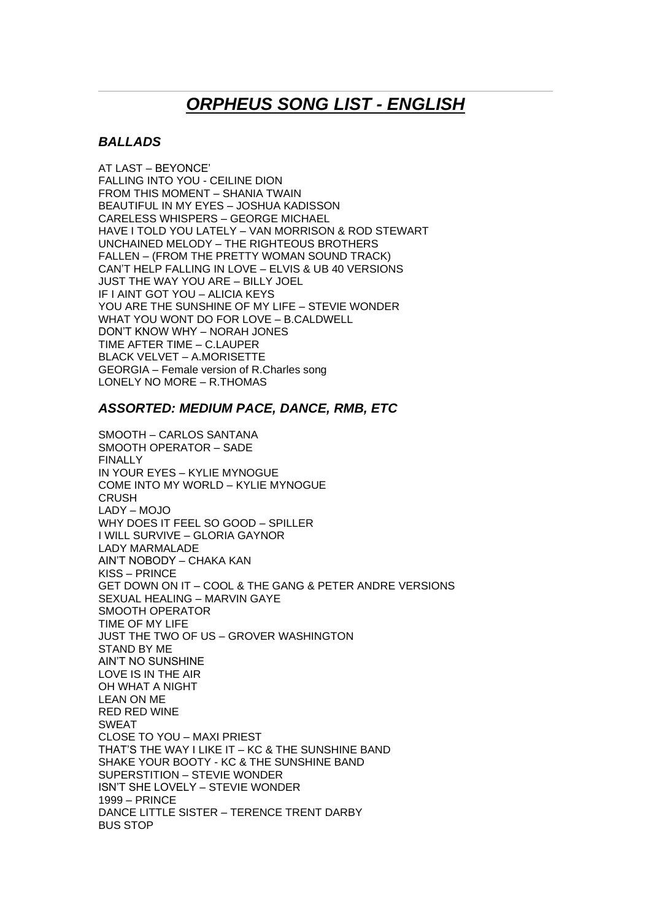# *ORPHEUS SONG LIST - ENGLISH*

### *BALLADS*

AT LAST – BEYONCE' FALLING INTO YOU - CEILINE DION FROM THIS MOMENT – SHANIA TWAIN BEAUTIFUL IN MY EYES – JOSHUA KADISSON CARELESS WHISPERS – GEORGE MICHAEL HAVE I TOLD YOU LATELY – VAN MORRISON & ROD STEWART UNCHAINED MELODY – THE RIGHTEOUS BROTHERS FALLEN – (FROM THE PRETTY WOMAN SOUND TRACK) CAN'T HELP FALLING IN LOVE – ELVIS & UB 40 VERSIONS JUST THE WAY YOU ARE – BILLY JOEL IF I AINT GOT YOU – ALICIA KEYS YOU ARE THE SUNSHINE OF MY LIFE – STEVIE WONDER WHAT YOU WONT DO FOR LOVE – B.CALDWELL DON'T KNOW WHY – NORAH JONES TIME AFTER TIME – C.LAUPER BLACK VELVET – A.MORISETTE GEORGIA – Female version of R.Charles song LONELY NO MORE – R.THOMAS

### *ASSORTED: MEDIUM PACE, DANCE, RMB, ETC*

SMOOTH – CARLOS SANTANA SMOOTH OPERATOR – SADE FINALLY IN YOUR EYES – KYLIE MYNOGUE COME INTO MY WORLD – KYLIE MYNOGUE **CRUSH** LADY – MOJO WHY DOES IT FEEL SO GOOD – SPILLER I WILL SURVIVE – GLORIA GAYNOR LADY MARMALADE AIN'T NOBODY – CHAKA KAN KISS – PRINCE GET DOWN ON IT – COOL & THE GANG & PETER ANDRE VERSIONS SEXUAL HEALING – MARVIN GAYE SMOOTH OPERATOR TIME OF MY LIFE JUST THE TWO OF US – GROVER WASHINGTON STAND BY ME AIN'T NO SUNSHINE LOVE IS IN THE AIR OH WHAT A NIGHT LEAN ON ME RED RED WINE SWEAT CLOSE TO YOU – MAXI PRIEST THAT'S THE WAY I LIKE IT – KC & THE SUNSHINE BAND SHAKE YOUR BOOTY - KC & THE SUNSHINE BAND SUPERSTITION – STEVIE WONDER ISN'T SHE LOVELY – STEVIE WONDER 1999 – PRINCE DANCE LITTLE SISTER – TERENCE TRENT DARBY BUS STOP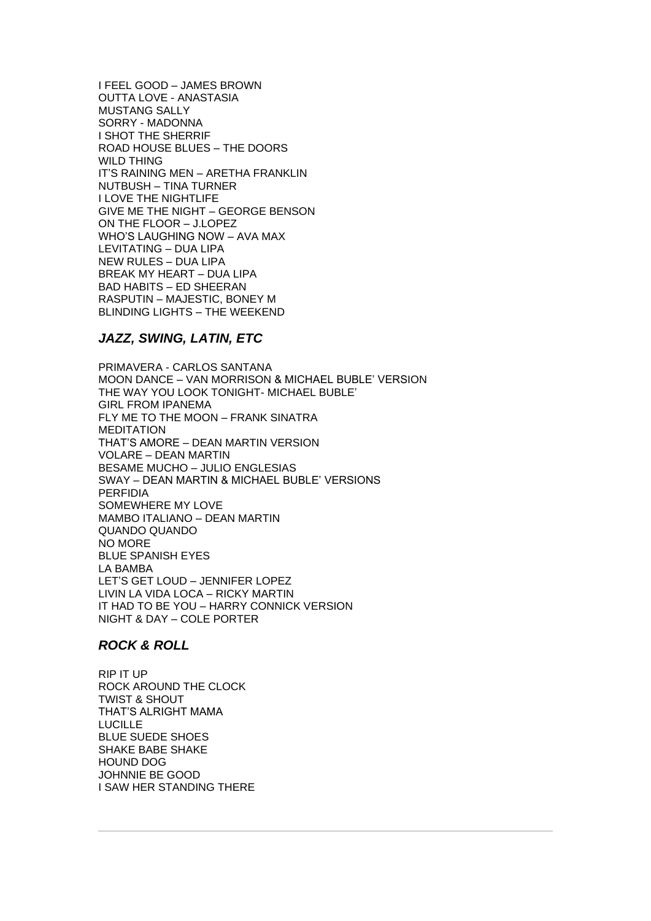I FEEL GOOD – JAMES BROWN OUTTA LOVE - ANASTASIA MUSTANG SALLY SORRY - MADONNA I SHOT THE SHERRIF ROAD HOUSE BLUES – THE DOORS WILD THING IT'S RAINING MEN – ARETHA FRANKLIN NUTBUSH – TINA TURNER I LOVE THE NIGHTLIFE GIVE ME THE NIGHT – GEORGE BENSON ON THE FLOOR – J.LOPEZ WHO'S LAUGHING NOW – AVA MAX LEVITATING – DUA LIPA NEW RULES – DUA LIPA BREAK MY HEART – DUA LIPA BAD HABITS – ED SHEERAN RASPUTIN – MAJESTIC, BONEY M BLINDING LIGHTS – THE WEEKEND

## *JAZZ, SWING, LATIN, ETC*

PRIMAVERA - CARLOS SANTANA MOON DANCE – VAN MORRISON & MICHAEL BUBLE' VERSION THE WAY YOU LOOK TONIGHT- MICHAEL BUBLE' GIRL FROM IPANEMA FLY ME TO THE MOON – FRANK SINATRA MEDITATION THAT'S AMORE – DEAN MARTIN VERSION VOLARE – DEAN MARTIN BESAME MUCHO – JULIO ENGLESIAS SWAY – DEAN MARTIN & MICHAEL BUBLE' VERSIONS PERFIDIA SOMEWHERE MY LOVE MAMBO ITALIANO – DEAN MARTIN QUANDO QUANDO NO MORE BLUE SPANISH EYES LA BAMBA LET'S GET LOUD – JENNIFER LOPEZ LIVIN LA VIDA LOCA – RICKY MARTIN IT HAD TO BE YOU – HARRY CONNICK VERSION NIGHT & DAY – COLE PORTER

## *ROCK & ROLL*

RIP IT UP ROCK AROUND THE CLOCK TWIST & SHOUT THAT'S ALRIGHT MAMA LUCILLE BLUE SUEDE SHOES SHAKE BABE SHAKE HOUND DOG JOHNNIE BE GOOD I SAW HER STANDING THERE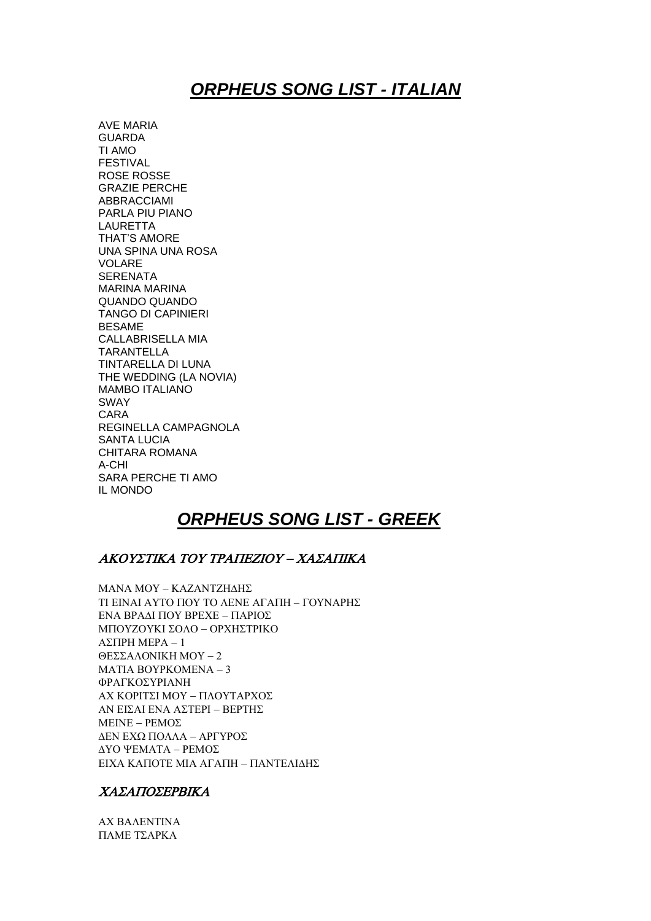## *ORPHEUS SONG LIST - ITALIAN*

AVE MARIA GUARDA TI AMO FESTIVAL ROSE ROSSE GRAZIE PERCHE ABBRACCIAMI PARLA PIU PIANO LAURETTA THAT'S AMORE UNA SPINA UNA ROSA VOLARE **SERENATA** MARINA MARINA QUANDO QUANDO TANGO DI CAPINIERI BESAME CALLABRISELLA MIA TARANTELLA TINTARELLA DI LUNA THE WEDDING (LA NOVIA) MAMBO ITALIANO SWAY CARA REGINELLA CAMPAGNOLA SANTA LUCIA CHITARA ROMANA A-CHI SARA PERCHE TI AMO IL MONDO

## *ORPHEUS SONG LIST - GREEK*

#### ΑΚΟΥΣΤΙΚΑ ΤΟΥ ΤΡΑΠΕΖΙΟΥ – ΧΑΣΑΠΙΚΑ

**MANA MOY - KAZANTZH∆HΣ** ΤΙ ΕΙΝΑΙ ΑΥΤΟ ΠΟΥ ΤΟ ΛΕΝΕ ΑΓΑΠΗ – ΓΟΥΝΑΡΗΣ ΕΝΑ ΒΡΑΔΙ ΠΟΥ ΒΡΕΧΕ – ΠΑΡΙΟΣ ΜΠΟΥΖΟΥΚΙ ΣΟΛΟ - ΟΡΧΗΣΤΡΙΚΟ  $ΔΣ$   $TIPHMPA - 1$ ΘΕΣΣΑΛΟΝΙΚΗ ΜΟΥ - 2 MATIA BOYPKOMENA - 3 ΦΡΑΓΚΟΣΥΡΙΑΝΗ ΑΧ ΚΟΡΙΤΣΙ ΜΟΥ – ΠΛΟΥΤΑΡΧΟΣ ΑΝ ΕΙΣΑΙ ΕΝΑ ΑΣΤΕΡΙ – ΒΕΡΤΗΣ  $MEINE - PEMO\Sigma$ ΔΕΝ ΕΧΩ ΠΟΛΛΑ - ΑΡΓΥΡΟΣ ΔΥΟ ΨΕΜΑΤΑ - ΡΕΜΟΣ ΕΙΧΑ ΚΑΠΟΤΕ ΜΙΑ ΑΓΑΠΗ – ΠΑΝΤΕΛΙΔΗΣ

#### ΧΑΣΑΠΟΣΕΡΒΙΚΑ

**AX BAAENTINA** ΠΑΜΕ ΤΣΑΡΚΑ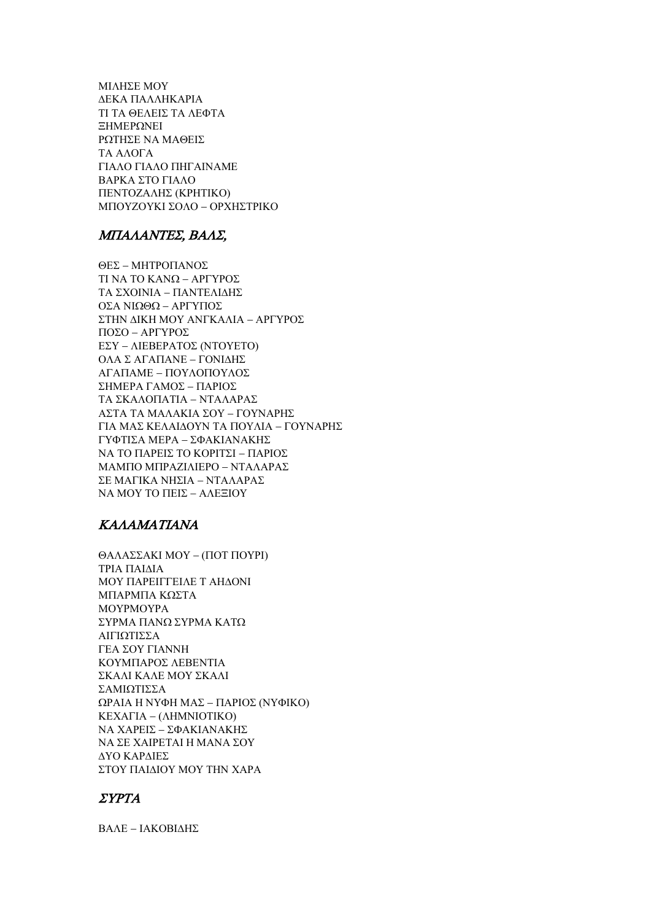ΜΙΛΗΣΕ ΜΟΥ ΔΕΚΑ ΠΑΛΛΗΚΑΡΙΑ ΤΙ ΤΑ ΘΕΛΕΙΣ ΤΑ ΛΕΦΤΑ ΞΗΜΕΡΩΝΕΙ ΡΩΤΗΣΕ ΝΑ ΜΑΘΕΙΣ ΤΑ ΑΛΟΓΑ ΓΙΑΛΟ ΓΙΑΛΟ ΠΗΓΑΙΝΑΜΕ ΒΑΡΚΑ ΣΤΟ ΓΙΑΛΟ ΠΕΝΤΟΖΑΛΗΣ (ΚΡΗΤΙΚΟ) ΜΠΟΥΖΟΥΚΙ ΣΟΛΟ - ΟΡΧΗΣΤΡΙΚΟ

#### ΜΠΑΛΑΝΤΕΣ, ΒΑΛΣ.

ΘΕΣ - ΜΗΤΡΟΠΑΝΟΣ ΤΙ ΝΑ ΤΟ ΚΑΝΩ - ΑΡΓΥΡΟΣ ΤΑ ΣΧΟΙΝΙΑ - ΠΑΝΤΕΛΙΔΗΣ ΟΣΑ ΝΙΩΘΩ - ΑΡΓΥΠΟΣ ΣΤΗΝ ΔΙΚΗ ΜΟΥ ΑΝΓΚΑΛΙΑ – ΑΡΓΥΡΟΣ  $ΠΟΣΟ – ΑΡΓΥΡΟΣ$ ΕΣΥ – ΛΙΕΒΕΡΑΤΟΣ (ΝΤΟΥΕΤΟ) ΟΛΑ Σ ΑΓΑΠΑΝΕ – ΓΟΝΙΛΗΣ ΑΓΑΠΑΜΕ - ΠΟΥΛΟΠΟΥΛΟΣ ΣΗΜΕΡΑ ΓΑΜΟΣ - ΠΑΡΙΟΣ ΤΑ ΣΚΑΛΟΠΑΤΙΑ - ΝΤΑΛΑΡΑΣ ΑΣΤΑ ΤΑ ΜΑΛΑΚΙΑ ΣΟΥ - ΓΟΥΝΑΡΗΣ ΓΙΑ ΜΑΣ ΚΕΛΑΙΔΟΥΝ ΤΑ ΠΟΥΛΙΑ – ΓΟΥΝΑΡΗΣ ΓΥΦΤΙΣΑ ΜΕΡΑ – ΣΦΑΚΙΑΝΑΚΗΣ ΝΑ ΤΟ ΠΑΡΕΙΣ ΤΟ ΚΟΡΙΤΣΙ - ΠΑΡΙΟΣ ΜΑΜΠΟ ΜΠΡΑΖΙΛΙΕΡΟ - ΝΤΑΛΑΡΑΣ ΣΕ ΜΑΓΙΚΑ ΝΗΣΙΑ - ΝΤΑΛΑΡΑΣ ΝΑ ΜΟΥ ΤΟ ΠΕΙΣ – ΑΛΕΞΙΟΥ

#### **KAAAMATIANA**

ΘΑΛΑΣΣΑΚΙ ΜΟΥ - (ΠΟΤ ΠΟΥΡΙ) ΤΡΙΑ ΠΑΙΔΙΑ ΜΟΥ ΠΑΡΕΙΓΓΕΙΛΕ Τ ΑΗΔΟΝΙ ΜΠΑΡΜΠΑ ΚΩΣΤΑ **MOYPMOYPA** ΣΥΡΜΑ ΠΑΝΩ ΣΥΡΜΑ ΚΑΤΩ ΑΙΓΙΩΤΙΣΣΑ ΓΕΑ ΣΟΥ ΓΙΑΝΝΗ ΚΟΥΜΠΑΡΟΣ ΛΕΒΕΝΤΙΑ ΣΚΑΛΙ ΚΑΛΕ ΜΟΥ ΣΚΑΛΙ ΣΑΜΙΩΤΙΣΣΑ ΩΡΑΙΑ Η ΝΥΦΗ ΜΑΣ – ΠΑΡΙΟΣ (ΝΥΦΙΚΟ) KEXAΓIA - (ΛΗΜΝΙΟΤΙΚΟ) ΝΑ ΧΑΡΕΙΣ - ΣΦΑΚΙΑΝΑΚΗΣ ΝΑ ΣΕ ΧΑΙΡΕΤΑΙ Η ΜΑΝΑ ΣΟΥ ΔΥΟ ΚΑΡΔΙΕΣ ΣΤΟΥ ΠΑΙΔΙΟΥ ΜΟΥ ΤΗΝ ΧΑΡΑ

#### $\Sigma YPTA$

ΒΑΛΕ - ΙΑΚΟΒΙΔΗΣ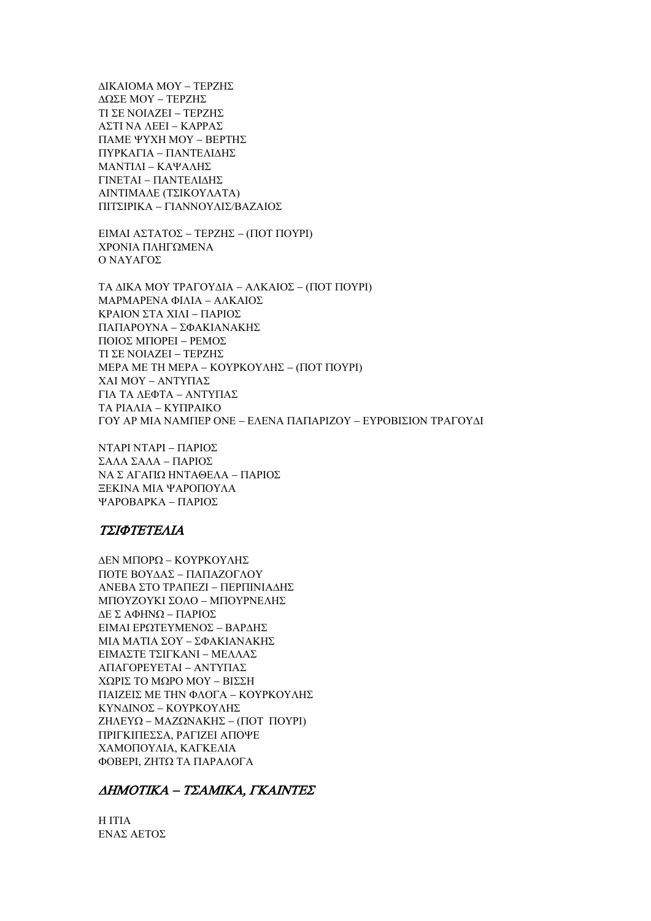ΔΙΚΑΙΟΜΑ ΜΟΥ - ΤΕΡΖΗΣ ΔΩΣΕ ΜΟΥ - ΤΕΡΖΗΣ ΤΙ ΣΕ ΝΟΙΑΖΕΙ - ΤΕΡΖΗΣ ΑΣΤΙ ΝΑ ΛΕΕΙ - ΚΑΡΡΑΣ ΠΑΜΕ ΨΥΧΗ ΜΟΥ - ΒΕΡΤΗΣ ΠΥΡΚΑΓΙΑ - ΠΑΝΤΕΛΙΔΗΣ ΜΑΝΤΙΛΙ - ΚΑΨΑΛΗΣ ΓΙΝΕΤΑΙ - ΠΑΝΤΕΛΙΔΗΣ ΑΙΝΤΙΜΑΛΕ (ΤΣΙΚΟΥΛΑΤΑ) ΠΙΤΣΙΡΙΚΑ - ΓΙΑΝΝΟΥΛΙΣ/ΒΑΖΑΙΟΣ

ΕΙΜΑΙ ΑΣΤΑΤΟΣ - ΤΕΡΖΗΣ - (ΠΟΤ ΠΟΥΡΙ) ΧΡΟΝΙΑ ΠΛΗΓΩΜΕΝΑ Ο ΝΑΥΑΓΟΣ

ΤΑ ΔΙΚΑ ΜΟΥ ΤΡΑΓΟΥΔΙΑ – ΑΛΚΑΙΟΣ – (ΠΟΤ ΠΟΥΡΙ) ΜΑΡΜΑΡΕΝΑ ΦΙΛΙΑ - ΑΛΚΑΙΟΣ ΚΡΑΙΟΝ ΣΤΑ ΧΙΛΙ - ΠΑΡΙΟΣ ΠΑΠΑΡΟΥΝΑ - ΣΦΑΚΙΑΝΑΚΗΣ ΠΟΙΟΣ ΜΠΟΡΕΙ - ΡΕΜΟΣ ΤΙ ΣΕ ΝΟΙΑΖΕΙ - ΤΕΡΖΗΣ **MEPA ME TH MEPA - ΚΟΥΡΚΟΥΛΗΣ - (ΠΟΤ ΠΟΥΡΙ)** ΧΑΙ ΜΟΥ - ΑΝΤΥΠΑΣ ΓΙΑ ΤΑ ΛΕΦΤΑ – ΑΝΤΥΠΑΣ ΤΑ ΡΙΑΛΙΑ - ΚΥΠΡΑΙΚΟ ΓΟΥ ΑΡ ΜΙΑ ΝΑΜΠΕΡ ΟΝΕ – ΕΛΕΝΑ ΠΑΠΑΡΙΖΟΥ – ΕΥΡΟΒΙΣΙΟΝ ΤΡΑΓΟΥΛΙ

ΝΤΑΡΙ ΝΤΑΡΙ - ΠΑΡΙΟΣ ΣΑΛΑ ΣΑΛΑ – ΠΑΡΙΟΣ ΝΑΣ ΑΓΑΠΩ ΗΝΤΑΘΕΛΑ – ΠΑΡΙΟΣ ΞΕΚΙΝΑ ΜΙΑ ΨΑΡΟΠΟΥΛΑ ΨΑΡΟΒΑΡΚΑ – ΠΑΡΙΟΣ

#### ΤΣΙΦΤΕΤΕΛΙΑ

ΔΕΝ ΜΠΟΡΩ - ΚΟΥΡΚΟΥΛΗΣ ΠΟΤΕ ΒΟΥΔΑΣ - ΠΑΠΑΖΟΓΛΟΥ ΑΝΕΒΑ ΣΤΟ ΤΡΑΠΕΖΙ - ΠΕΡΠΙΝΙΑΔΗΣ ΜΠΟΥΖΟΥΚΙ ΣΟΛΟ - ΜΠΟΥΡΝΕΛΗΣ ΔΕ Σ ΑΦΗΝΩ - ΠΑΡΙΟΣ ΕΙΜΑΙ ΕΡΩΤΕΥΜΕΝΟΣ - ΒΑΡΔΗΣ ΜΙΑ ΜΑΤΙΑ ΣΟΥ - ΣΦΑΚΙΑΝΑΚΗΣ ΕΙΜΑΣΤΕ ΤΣΙΓΚΑΝΙ – ΜΕΛΛΑΣ ΑΠΑΓΟΡΕΥΕΤΑΙ - ΑΝΤΥΠΑΣ ΧΩΡΙΣ ΤΟ ΜΩΡΟ ΜΟΥ - ΒΙΣΣΗ ΠΑΙΖΕΙΣ ΜΕ ΤΗΝ ΦΛΟΓΑ - ΚΟΥΡΚΟΥΛΗΣ ΚΥΝΔΙΝΟΣ - ΚΟΥΡΚΟΥΛΗΣ ΖΗΛΕΥΩ – ΜΑΖΩΝΑΚΗΣ – (ΠΟΤ ΠΟΥΡΙ) ΠΡΙΓΚΙΠΕΣΣΑ, ΡΑΓΙΖΕΙ ΑΠΟΨΕ ΧΑΜΟΠΟΥΛΙΑ, ΚΑΓΚΕΛΙΑ ΦΟΒΕΡΙ, ΖΗΤΩ ΤΑ ΠΑΡΑΛΟΓΑ

#### ΔΗΜΟΤΙΚΑ - ΤΣΑΜΙΚΑ, ΓΚΑΙΝΤΕΣ

**HITIA** ΕΝΑΣ ΑΕΤΟΣ